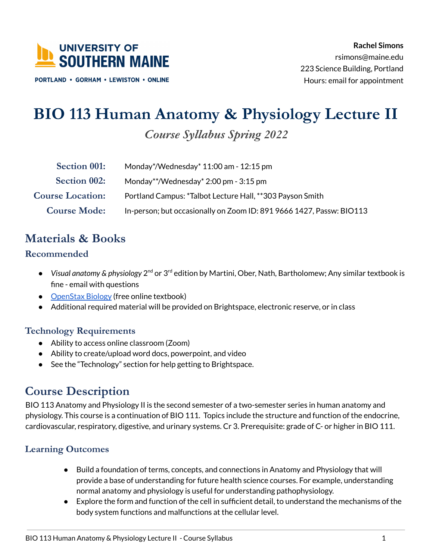

**PORTLAND · GORHAM · LEWISTON · ONLINE** 

# **BIO 113 Human Anatomy & Physiology Lecture II**

*Course Syllabus Spring 2022*

| <b>Section 001:</b>     | Monday*/Wednesday* $11:00$ am - $12:15$ pm                           |
|-------------------------|----------------------------------------------------------------------|
| Section 002:            | Monday**/Wednesday* 2:00 pm - 3:15 pm                                |
| <b>Course Location:</b> | Portland Campus: *Talbot Lecture Hall, **303 Payson Smith            |
| <b>Course Mode:</b>     | In-person; but occasionally on Zoom ID: 891 9666 1427, Passw: BIO113 |

### **Materials & Books**

#### **Recommended**

- *Visual anatomy & physiology* 2nd or 3rd edition by Martini, Ober, Nath, Bartholomew; Any similar textbook is fine - email with questions
- [OpenStax](https://openstax.org/books/anatomy-and-physiology/pages/1-introduction) Biology (free online textbook)
- Additional required material will be provided on Brightspace, electronic reserve, or in class

#### **Technology Requirements**

- Ability to access online classroom (Zoom)
- Ability to create/upload word docs, powerpoint, and video
- See the "Technology" section for help getting to Brightspace.

### **Course Description**

I BIO 113 Anatomy and Physiology II is the second semester of a two-semester series in human anatomy and physiology. This course is a continuation of BIO 111. Topics include the structure and function of the endocrine, cardiovascular, respiratory, digestive, and urinary systems. Cr 3. Prerequisite: grade of C- or higher in BIO 111.

### **Learning Outcomes**

- Build a foundation of terms, concepts, and connections in Anatomy and Physiology that will provide a base of understanding for future health science courses. For example, understanding normal anatomy and physiology is useful for understanding pathophysiology.
- Explore the form and function of the cell in sufficient detail, to understand the mechanisms of the body system functions and malfunctions at the cellular level.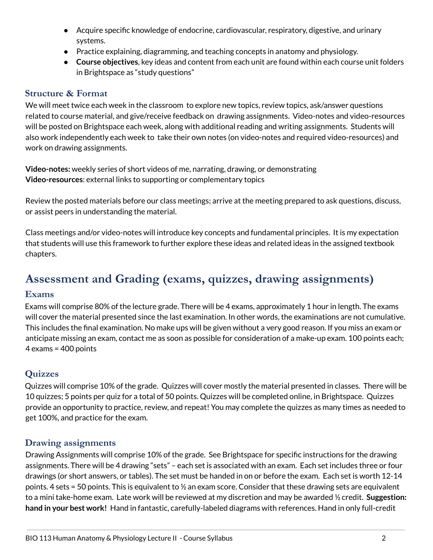- Acquire specific knowledge of endocrine, cardiovascular, respiratory, digestive, and urinary systems.
- Practice explaining, diagramming, and teaching concepts in anatomy and physiology.
- **Course objectives**, key ideas and content from each unit are found within each course unit folders in Brightspace as "study questions"

#### **Structure & Format**

I We will meet twice each week in the classroom to explore new topics, review topics, ask/answer questions related to course material, and give/receive feedback on drawing assignments. Video-notes and video-resources will be posted on Brightspace each week, along with additional reading and writing assignments. Students will also work independently each week to take their own notes (on video-notes and required video-resources) and work on drawing assignments.

**Video-notes:** weekly series of short videos of me, narrating, drawing, or demonstrating **Video-resources**: external links to supporting or complementary topics

Review the posted materials before our class meetings; arrive at the meeting prepared to ask questions, discuss, or assist peers in understanding the material.

Class meetings and/or video-notes will introduce key concepts and fundamental principles. It is my expectation that students will use this framework to further explore these ideas and related ideas in the assigned textbook chapters.

### **Assessment and Grading (exams, quizzes, drawing assignments)**

#### **Exams**

I Exams will comprise 80% of the lecture grade. There will be 4 exams, approximately 1 hour in length. The exams will cover the material presented since the last examination. In other words, the examinations are not cumulative. This includes the final examination. No make ups will be given without a very good reason. If you miss an exam or anticipate missing an exam, contact me as soon as possible for consideration of a make-up exam. 100 points each; 4 exams = 400 points

#### **Quizzes**

Quizzes will comprise 10% of the grade. Quizzes will cover mostly the material presented in classes. There will be 10 quizzes; 5 points per quiz for a total of 50 points. Quizzes will be completed online, in Brightspace. Quizzes provide an opportunity to practice, review, and repeat! You may complete the quizzes as many times as needed to get 100%, and practice for the exam.

#### **Drawing assignments**

Drawing Assignments will comprise 10% of the grade. See Brightspace for specific instructions for the drawing assignments. There will be 4 drawing "sets" – each set is associated with an exam. Each set includes three or four drawings (or short answers, or tables). The set must be handed in on or before the exam. Each set is worth 12-14 points. 4 sets = 50 points. This is equivalent to  $\frac{1}{2}$  an exam score. Consider that these drawing sets are equivalent to a mini take-home exam. Late work will be reviewed at my discretion and may be awarded ½ credit. **Suggestion: hand in your best work!** Hand in fantastic, carefully-labeled diagrams with references. Hand in only full-credit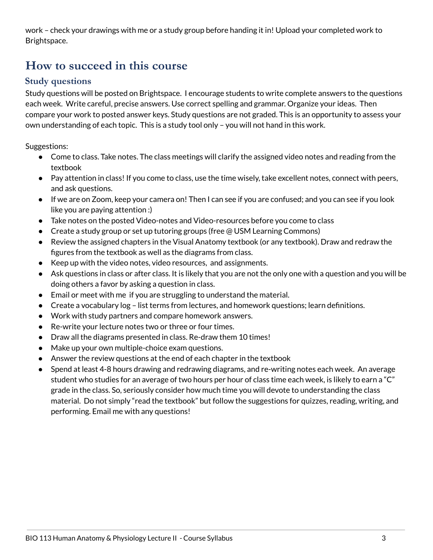work – check your drawings with me or a study group before handing it in! Upload your completed work to Brightspace.

### **How to succeed in this course**

#### **Study questions**

Study questions will be posted on Brightspace. I encourage students to write complete answers to the questions each week. Write careful, precise answers. Use correct spelling and grammar. Organize your ideas. Then compare your work to posted answer keys. Study questions are not graded. This is an opportunity to assess your own understanding of each topic. This is a study tool only – you will not hand in this work.

Suggestions:

- Come to class. Take notes. The class meetings will clarify the assigned video notes and reading from the textbook
- Pay attention in class! If you come to class, use the time wisely, take excellent notes, connect with peers, and ask questions.
- If we are on Zoom, keep your camera on! Then I can see if you are confused; and you can see if you look like you are paying attention :)
- Take notes on the posted Video-notes and Video-resources before you come to class
- Create a study group or set up tutoring groups (free @ USM Learning Commons)
- Review the assigned chapters in the Visual Anatomy textbook (or any textbook). Draw and redraw the figures from the textbook as well as the diagrams from class.
- Keep up with the video notes, video resources, and assignments.
- j ● Ask questions in class or after class. It is likely that you are not the only one with a question and you will be doing others a favor by asking a question in class.
- Email or meet with me if you are struggling to understand the material.
- Create a vocabulary log list terms from lectures, and homework questions; learn definitions.
- Work with study partners and compare homework answers.
- Re-write your lecture notes two or three or four times.
- Draw all the diagrams presented in class. Re-draw them 10 times!
- Make up your own multiple-choice exam questions.
- Answer the review questions at the end of each chapter in the textbook
- Spend at least 4-8 hours drawing and redrawing diagrams, and re-writing notes each week. An average student who studies for an average of two hours per hour of class time each week, is likely to earn a "C" grade in the class. So, seriously consider how much time you will devote to understanding the class material. Do not simply "read the textbook" but follow the suggestions for quizzes, reading, writing, and performing. Email me with any questions!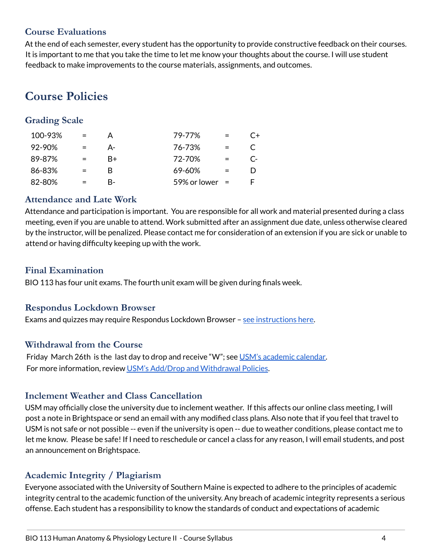#### **Course Evaluations**

At the end of each semester, every student has the opportunity to provide constructive feedback on their courses. It is important to me that you take the time to let me know your thoughts about the course. I will use student feedback to make improvements to the course materials, assignments, and outcomes.

## **Course Policies**

#### **Grading Scale**

| 100-93% |     | А    | 79-77%         |     | C+       |
|---------|-----|------|----------------|-----|----------|
| 92-90%  | $=$ | А-   | 76-73%         | $=$ |          |
| 89-87%  |     | $R+$ | 72-70%         |     | $\Gamma$ |
| 86-83%  | $=$ | R    | 69-60%         |     |          |
| 82-80%  |     | R-   | 59% or lower = |     |          |

#### **Attendance and Late Work**

Attendance and participation is important. You are responsible for all work and material presented during a class meeting, even if you are unable to attend. Work submitted after an assignment due date, unless otherwise cleared by the instructor, will be penalized. Please contact me for consideration of an extension if you are sick or unable to attend or having difficulty keeping up with the work.

#### **Final Examination**

BIO 113 has four unit exams. The fourth unit exam will be given during finals week.

#### **Respondus Lockdown Browser**

Exams and quizzes may require Respondus Lockdown Browser – see [instructions](https://docs.google.com/document/d/1xaL3gii1zt2I7JkTppG5qNO7S4vOeHFvepicNjNoeJg/edit?usp=sharing) here.

#### **Withdrawal from the Course**

Friday March 26th is the last day to drop and receive "W"; see USM's [academic](https://usm.maine.edu/reg/academiccalendar) calendar. For more information, review USM's Add/Drop and [Withdrawal](https://usm.maine.edu/reg/addingdroppingwithdrawal) Policies.

#### **Inclement Weather and Class Cancellation**

USM may officially close the university due to inclement weather. If this affects our online class meeting, I will post a note in Brightspace or send an email with any modified class plans. Also note that if you feel that travel to USM is not safe or not possible -- even if the university is open -- due to weather conditions, please contact me to let me know. Please be safe! If I need to reschedule or cancel a class for any reason, I will email students, and post an announcement on Brightspace.

#### **Academic Integrity / Plagiarism**

Everyone associated with the University of Southern Maine is expected to adhere to the principles of academic integrity central to the academic function of the university. Any breach of academic integrity represents a serious offense. Each student has a responsibility to know the standards of conduct and expectations of academic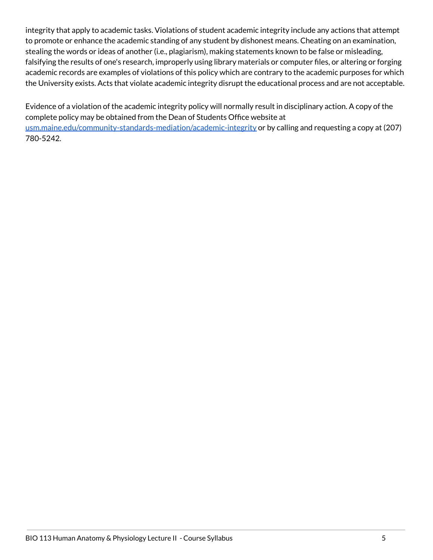integrity that apply to academic tasks. Violations of student academic integrity include any actions that attempt to promote or enhance the academic standing of any student by dishonest means. Cheating on an examination, stealing the words or ideas of another (i.e., plagiarism), making statements known to be false or misleading, falsifying the results of one's research, improperly using library materials or computer files, or altering or forging academic records are examples of violations of this policy which are contrary to the academic purposes for which the University exists. Acts that violate academic integrity disrupt the educational process and are not acceptable.

Evidence of a violation of the academic integrity policy will normally result in disciplinary action. A copy of the complete policy may be obtained from the Dean of Students Office website at [usm.maine.edu/community-standards-mediation/academic-integrity](https://usm.maine.edu/community-standards-mediation/academic-integrity) or by calling and requesting a copy at (207) 780-5242.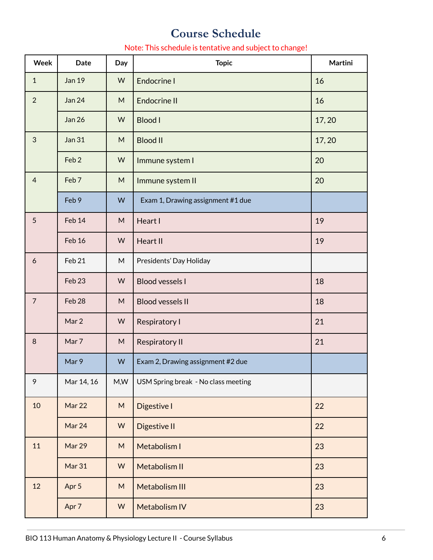### **Course Schedule**

#### i Note: This schedule is tentative and subject to change!

| <b>Week</b>      | <b>Date</b>       | Day       | <b>Topic</b>                        | Martini |
|------------------|-------------------|-----------|-------------------------------------|---------|
| $\mathbf{1}$     | <b>Jan 19</b>     | W         | <b>Endocrine I</b>                  | 16      |
| $\overline{2}$   | <b>Jan 24</b>     | ${\sf M}$ | <b>Endocrine II</b>                 | 16      |
|                  | <b>Jan 26</b>     | W         | <b>Blood I</b>                      | 17,20   |
| 3                | <b>Jan 31</b>     | ${\sf M}$ | <b>Blood II</b>                     | 17,20   |
|                  | Feb <sub>2</sub>  | W         | Immune system I                     | 20      |
| $\overline{4}$   | Feb <sub>7</sub>  | M         | Immune system II                    | 20      |
|                  | Feb 9             | W         | Exam 1, Drawing assignment #1 due   |         |
| 5                | Feb 14            | ${\sf M}$ | Heart I                             | 19      |
|                  | Feb 16            | W         | Heart II                            | 19      |
| $\boldsymbol{6}$ | Feb 21            | M         | Presidents' Day Holiday             |         |
|                  | Feb <sub>23</sub> | W         | <b>Blood vessels I</b>              | 18      |
| $\overline{7}$   | Feb <sub>28</sub> | ${\sf M}$ | <b>Blood vessels II</b>             | 18      |
|                  | Mar 2             | W         | Respiratory I                       | 21      |
| $\,8\,$          | Mar 7             | M         | <b>Respiratory II</b>               | 21      |
|                  | Mar 9             | W         | Exam 2, Drawing assignment #2 due   |         |
| 9                | Mar 14, 16        | M, W      | USM Spring break - No class meeting |         |
| 10               | Mar 22            | M         | Digestive I                         | 22      |
|                  | Mar 24            | W         | Digestive II                        | 22      |
| 11               | Mar 29            | ${\sf M}$ | Metabolism I                        | 23      |
|                  | Mar 31            | W         | <b>Metabolism II</b>                | 23      |
| 12               | Apr 5             | ${\sf M}$ | <b>Metabolism III</b>               | 23      |
|                  | Apr 7             | W         | Metabolism IV                       | 23      |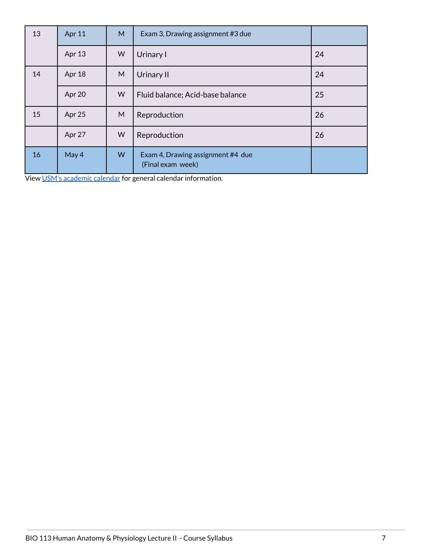| 13 | Apr 11 | M | Exam 3, Drawing assignment #3 due                      |    |
|----|--------|---|--------------------------------------------------------|----|
|    | Apr 13 | W | Urinary I                                              | 24 |
| 14 | Apr 18 | M | Urinary II                                             | 24 |
|    | Apr 20 | W | Fluid balance; Acid-base balance                       | 25 |
| 15 | Apr 25 | M | Reproduction                                           | 26 |
|    | Apr 27 | W | Reproduction                                           | 26 |
| 16 | May 4  | W | Exam 4, Drawing assignment #4 due<br>(Final exam week) |    |

l, View USM's [academic](https://usm.maine.edu/reg/academiccalendar) calendar for general calendar information.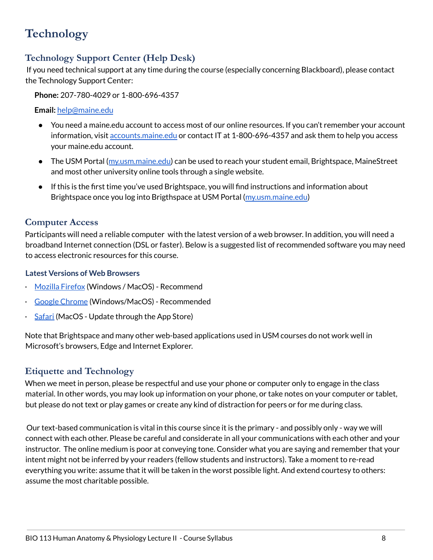## **Technology**

### **Technology Support Center (Help Desk)**

If you need technical support at any time during the course (especially concerning Blackboard), please contact the Technology Support Center:

**Phone:** 207-780-4029 or 1-800-696-4357

**Email:** [help@maine.edu](mailto:help@maine.edu)

- You need a [maine.edu](https://maine.edu) account to access most of our online resources. If you can't remember your account information, visit [accounts.maine.edu](http://accounts.maine.edu/) or contact IT at 1-800-696-4357 and ask them to help you access your [maine.edu](https://maine.edu) account.
- The USM Portal ([my.usm.maine.edu\)](https://my.usm.maine.edu/) can be used to reach your student email, Brightspace, MaineStreet and most other university online tools through a single website.
- If this is the first time you've used Brightspace, you will find instructions and information about Brightspace once you log into Brigthspace at USM Portal [\(my.usm.maine.edu](https://my.usm.maine.edu/))

#### **Computer Access**

Participants will need a reliable computer with the latest version of a web browser. In addition, you will need a broadband Internet connection (DSL or faster). Below is a suggested list of recommended software you may need to access electronic resources for this course.

#### **Latest Versions of Web Browsers**

- [Mozilla](http://mozilla.com/firefox) Firefox (Windows / MacOS) Recommend
- Google [Chrome](http://www.google.com/chrome/) (Windows/MacOS) Recommended
- [Safari](http://www.apple.com/safari/) (MacOS Update through the App Store)

Note that Brightspace and many other web-based applications used in USM courses do not work well in Microsoft's browsers, Edge and Internet Explorer.

#### **Etiquette and Technology**

When we meet in person, please be respectful and use your phone or computer only to engage in the class material. In other words, you may look up information on your phone, or take notes on your computer or tablet, but please do not text or play games or create any kind of distraction for peers or for me during class.

j Our text-based communication is vital in this course since it is the primary - and possibly only - way we will connect with each other. Please be careful and considerate in all your communications with each other and your instructor. The online medium is poor at conveying tone. Consider what you are saying and remember that your intent might not be inferred by your readers (fellow students and instructors). Take a moment to re-read everything you write: assume that it will be taken in the worst possible light. And extend courtesy to others: assume the most charitable possible.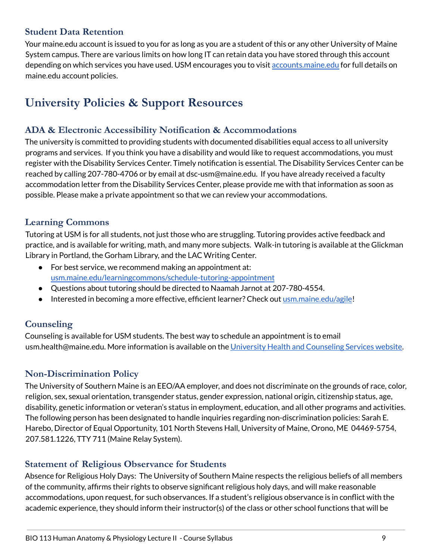#### **Student Data Retention**

 Your [maine.edu](https://maine.edu) account is issued to you for as long as you are a student of this or any other University of Maine System campus. There are various limits on how long IT can retain data you have stored through this account depending on which services you have used. USM encourages you to visit [accounts.maine.edu](http://accounts.maine.edu/) for full details on [maine.edu](https://maine.edu) account policies.

## **University Policies & Support Resources**

#### **ADA & Electronic Accessibility Notification & Accommodations**

The university is committed to providing students with documented disabilities equal access to all university programs and services. If you think you have a disability and would like to request accommodations, you must register with the Disability Services Center. Timely notification is essential. The Disability Services Center can be reached by calling 207-780-4706 or by email at [dsc-usm@maine.edu](mailto:dsc-usm@maine.edu). If you have already received a faculty accommodation letter from the Disability Services Center, please provide me with that information as soon as possible. Please make a private appointment so that we can review your accommodations.

#### **Learning Commons**

Tutoring at USM is for all students, not just those who are struggling. Tutoring provides active feedback and practice, and is available for writing, math, and many more subjects. Walk-in tutoring is available at the Glickman Library in Portland, the Gorham Library, and the LAC Writing Center.

- For best service, we recommend making an appointment at: [usm.maine.edu/learningcommons/schedule-tutoring-appointment](https://usm.maine.edu/learningcommons/schedule-tutoring-appointment)
- Questions about tutoring should be directed to Naamah Jarnot at 207-780-4554.
- Interested in becoming a more effective, efficient learner? Check out [usm.maine.edu/agile](https://usm.maine.edu/agile)!

#### **Counseling**

Counseling is available for USM students. The best way to schedule an appointment is to email [usm.health@maine.edu](mailto:usm.health@maine.edu). More information is available on the University Health and [Counseling](https://usm.maine.edu/uhcs) Services website.

#### **Non-Discrimination Policy**

The University of Southern Maine is an EEO/AA employer, and does not discriminate on the grounds of race, color, religion, sex, sexual orientation, transgender status, gender expression, national origin, citizenship status, age, disability, genetic information or veteran's status in employment, education, and all other programs and activities. The following person has been designated to handle inquiries regarding non-discrimination policies: Sarah E. Harebo, Director of Equal Opportunity, 101 North Stevens Hall, University of Maine, Orono, ME 04469-5754, 207.581.1226, TTY 711 (Maine Relay System).

#### **Statement of Religious Observance for Students**

Absence for Religious Holy Days: The University of Southern Maine respects the religious beliefs of all members of the community, affirms their rights to observe significant religious holy days, and will make reasonable accommodations, upon request, for such observances. If a student's religious observance is in conflict with the academic experience, they should inform their instructor(s) of the class or other school functions that will be